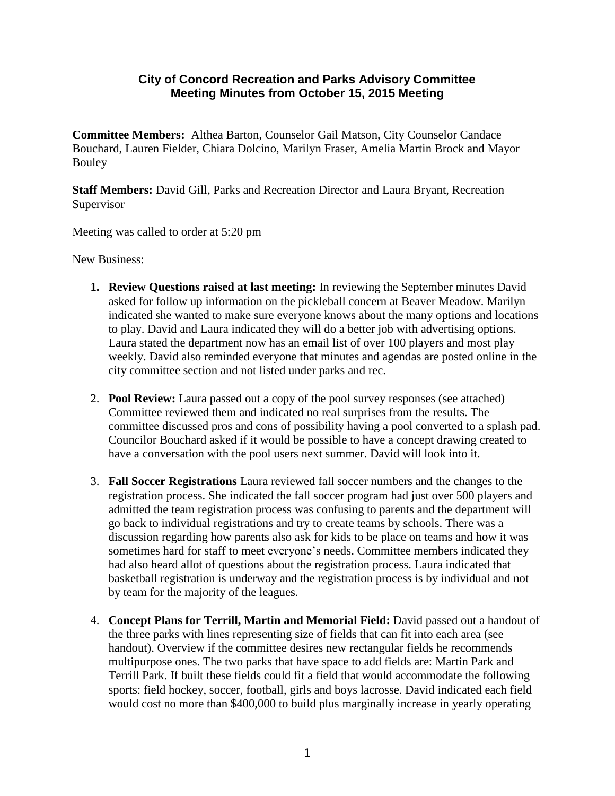## **City of Concord Recreation and Parks Advisory Committee Meeting Minutes from October 15, 2015 Meeting**

**Committee Members:** Althea Barton, Counselor Gail Matson, City Counselor Candace Bouchard, Lauren Fielder, Chiara Dolcino, Marilyn Fraser, Amelia Martin Brock and Mayor Bouley

**Staff Members:** David Gill, Parks and Recreation Director and Laura Bryant, Recreation Supervisor

Meeting was called to order at 5:20 pm

New Business:

- **1. Review Questions raised at last meeting:** In reviewing the September minutes David asked for follow up information on the pickleball concern at Beaver Meadow. Marilyn indicated she wanted to make sure everyone knows about the many options and locations to play. David and Laura indicated they will do a better job with advertising options. Laura stated the department now has an email list of over 100 players and most play weekly. David also reminded everyone that minutes and agendas are posted online in the city committee section and not listed under parks and rec.
- 2. **Pool Review:** Laura passed out a copy of the pool survey responses (see attached) Committee reviewed them and indicated no real surprises from the results. The committee discussed pros and cons of possibility having a pool converted to a splash pad. Councilor Bouchard asked if it would be possible to have a concept drawing created to have a conversation with the pool users next summer. David will look into it.
- 3. **Fall Soccer Registrations** Laura reviewed fall soccer numbers and the changes to the registration process. She indicated the fall soccer program had just over 500 players and admitted the team registration process was confusing to parents and the department will go back to individual registrations and try to create teams by schools. There was a discussion regarding how parents also ask for kids to be place on teams and how it was sometimes hard for staff to meet everyone's needs. Committee members indicated they had also heard allot of questions about the registration process. Laura indicated that basketball registration is underway and the registration process is by individual and not by team for the majority of the leagues.
- 4. **Concept Plans for Terrill, Martin and Memorial Field:** David passed out a handout of the three parks with lines representing size of fields that can fit into each area (see handout). Overview if the committee desires new rectangular fields he recommends multipurpose ones. The two parks that have space to add fields are: Martin Park and Terrill Park. If built these fields could fit a field that would accommodate the following sports: field hockey, soccer, football, girls and boys lacrosse. David indicated each field would cost no more than \$400,000 to build plus marginally increase in yearly operating